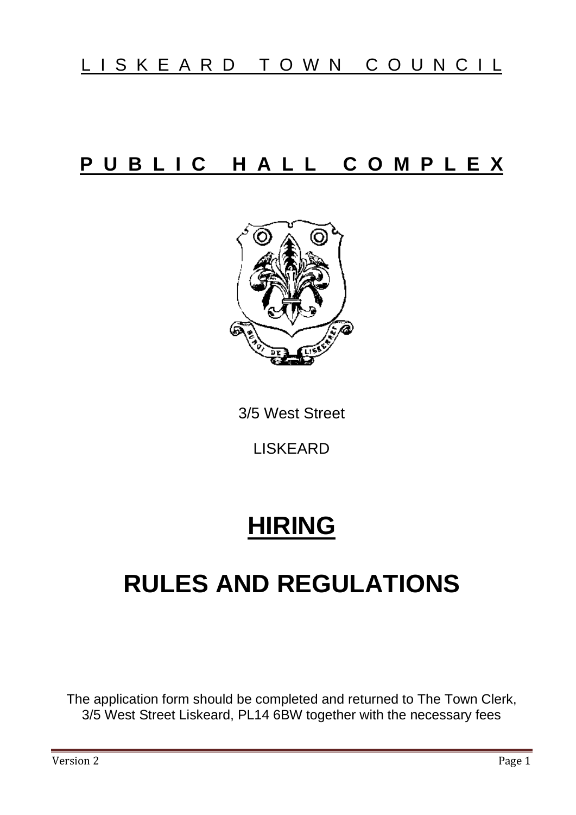## P U B L I C H A L L C O M P L E X



3/5 West Street

LISKEARD

# **HIRING**

# **RULES AND REGULATIONS**

The application form should be completed and returned to The Town Clerk, 3/5 West Street Liskeard, PL14 6BW together with the necessary fees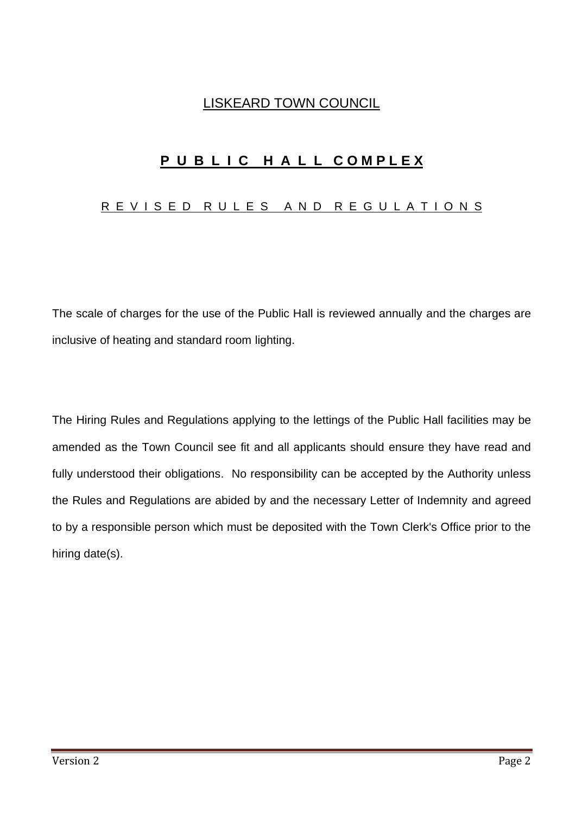### LISKEARD TOWN COUNCIL

## P U B L I C H A L L COMPLEX

#### R E V I S E D R U L E S A N D R E G U L A T I O N S

The scale of charges for the use of the Public Hall is reviewed annually and the charges are inclusive of heating and standard room lighting.

The Hiring Rules and Regulations applying to the lettings of the Public Hall facilities may be amended as the Town Council see fit and all applicants should ensure they have read and fully understood their obligations. No responsibility can be accepted by the Authority unless the Rules and Regulations are abided by and the necessary Letter of Indemnity and agreed to by a responsible person which must be deposited with the Town Clerk's Office prior to the hiring date(s).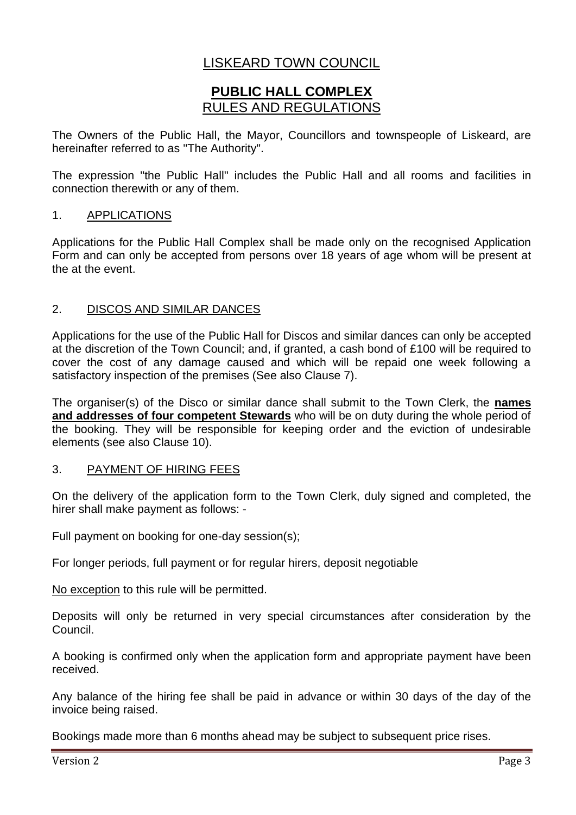## LISKEARD TOWN COUNCIL

### **PUBLIC HALL COMPLEX** RULES AND REGULATIONS

The Owners of the Public Hall, the Mayor, Councillors and townspeople of Liskeard, are hereinafter referred to as ''The Authority".

The expression ''the Public Hall'' includes the Public Hall and all rooms and facilities in connection therewith or any of them.

#### 1. APPLICATIONS

Applications for the Public Hall Complex shall be made only on the recognised Application Form and can only be accepted from persons over 18 years of age whom will be present at the at the event.

#### 2. DISCOS AND SIMILAR DANCES

Applications for the use of the Public Hall for Discos and similar dances can only be accepted at the discretion of the Town Council; and, if granted, a cash bond of £100 will be required to cover the cost of any damage caused and which will be repaid one week following a satisfactory inspection of the premises (See also Clause 7).

The organiser(s) of the Disco or similar dance shall submit to the Town Clerk, the **names and addresses of four competent Stewards** who will be on duty during the whole period of the booking. They will be responsible for keeping order and the eviction of undesirable elements (see also Clause 10).

#### 3. PAYMENT OF HIRING FEES

On the delivery of the application form to the Town Clerk, duly signed and completed, the hirer shall make payment as follows: -

Full payment on booking for one-day session(s);

For longer periods, full payment or for regular hirers, deposit negotiable

No exception to this rule will be permitted.

Deposits will only be returned in very special circumstances after consideration by the Council.

A booking is confirmed only when the application form and appropriate payment have been received.

Any balance of the hiring fee shall be paid in advance or within 30 days of the day of the invoice being raised.

Bookings made more than 6 months ahead may be subject to subsequent price rises.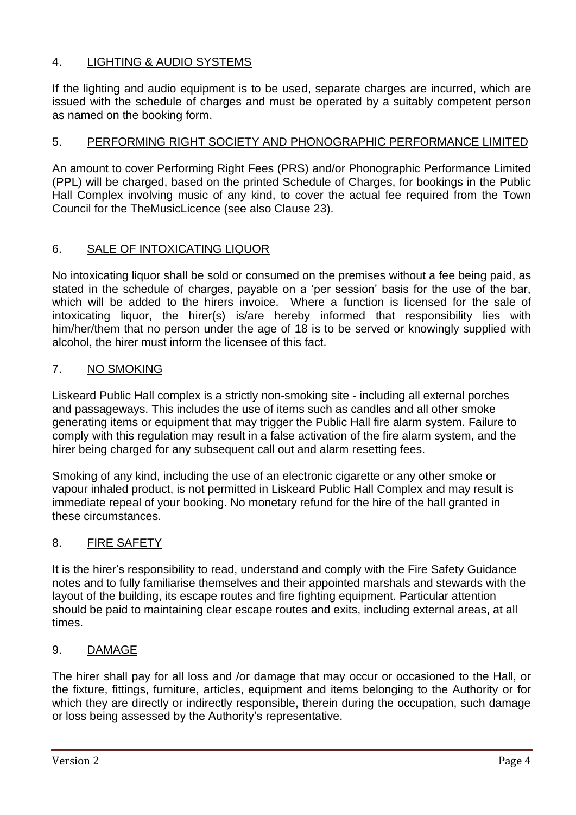#### 4. LIGHTING & AUDIO SYSTEMS

If the lighting and audio equipment is to be used, separate charges are incurred, which are issued with the schedule of charges and must be operated by a suitably competent person as named on the booking form.

#### 5. PERFORMING RIGHT SOCIETY AND PHONOGRAPHIC PERFORMANCE LIMITED

An amount to cover Performing Right Fees (PRS) and/or Phonographic Performance Limited (PPL) will be charged, based on the printed Schedule of Charges, for bookings in the Public Hall Complex involving music of any kind, to cover the actual fee required from the Town Council for the TheMusicLicence (see also Clause 23).

#### 6. SALE OF INTOXICATING LIQUOR

No intoxicating liquor shall be sold or consumed on the premises without a fee being paid, as stated in the schedule of charges, payable on a 'per session' basis for the use of the bar, which will be added to the hirers invoice. Where a function is licensed for the sale of intoxicating liquor, the hirer(s) is/are hereby informed that responsibility lies with him/her/them that no person under the age of 18 is to be served or knowingly supplied with alcohol, the hirer must inform the licensee of this fact.

#### 7. NO SMOKING

Liskeard Public Hall complex is a strictly non-smoking site - including all external porches and passageways. This includes the use of items such as candles and all other smoke generating items or equipment that may trigger the Public Hall fire alarm system. Failure to comply with this regulation may result in a false activation of the fire alarm system, and the hirer being charged for any subsequent call out and alarm resetting fees.

Smoking of any kind, including the use of an electronic cigarette or any other smoke or vapour inhaled product, is not permitted in Liskeard Public Hall Complex and may result is immediate repeal of your booking. No monetary refund for the hire of the hall granted in these circumstances.

#### 8. FIRE SAFETY

It is the hirer's responsibility to read, understand and comply with the Fire Safety Guidance notes and to fully familiarise themselves and their appointed marshals and stewards with the layout of the building, its escape routes and fire fighting equipment. Particular attention should be paid to maintaining clear escape routes and exits, including external areas, at all times.

#### 9. DAMAGE

The hirer shall pay for all loss and /or damage that may occur or occasioned to the Hall, or the fixture, fittings, furniture, articles, equipment and items belonging to the Authority or for which they are directly or indirectly responsible, therein during the occupation, such damage or loss being assessed by the Authority's representative.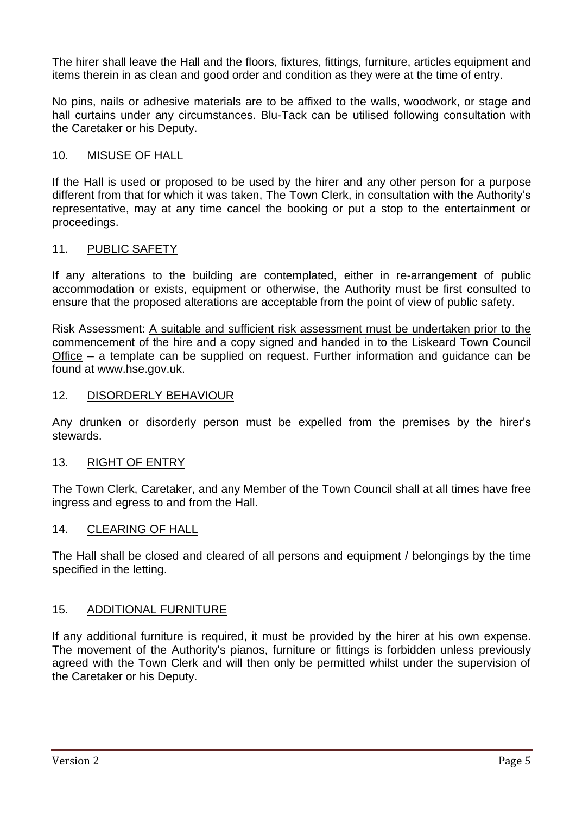The hirer shall leave the Hall and the floors, fixtures, fittings, furniture, articles equipment and items therein in as clean and good order and condition as they were at the time of entry.

No pins, nails or adhesive materials are to be affixed to the walls, woodwork, or stage and hall curtains under any circumstances. Blu-Tack can be utilised following consultation with the Caretaker or his Deputy.

#### 10. MISUSE OF HALL

If the Hall is used or proposed to be used by the hirer and any other person for a purpose different from that for which it was taken, The Town Clerk, in consultation with the Authority's representative, may at any time cancel the booking or put a stop to the entertainment or proceedings.

#### 11. PUBLIC SAFETY

If any alterations to the building are contemplated, either in re-arrangement of public accommodation or exists, equipment or otherwise, the Authority must be first consulted to ensure that the proposed alterations are acceptable from the point of view of public safety.

Risk Assessment: A suitable and sufficient risk assessment must be undertaken prior to the commencement of the hire and a copy signed and handed in to the Liskeard Town Council Office – a template can be supplied on request. Further information and guidance can be found at www.hse.gov.uk.

#### 12. DISORDERLY BEHAVIOUR

Any drunken or disorderly person must be expelled from the premises by the hirer's stewards.

#### 13. RIGHT OF ENTRY

The Town Clerk, Caretaker, and any Member of the Town Council shall at all times have free ingress and egress to and from the Hall.

#### 14. CLEARING OF HALL

The Hall shall be closed and cleared of all persons and equipment / belongings by the time specified in the letting.

#### 15. ADDITIONAL FURNITURE

If any additional furniture is required, it must be provided by the hirer at his own expense. The movement of the Authority's pianos, furniture or fittings is forbidden unless previously agreed with the Town Clerk and will then only be permitted whilst under the supervision of the Caretaker or his Deputy.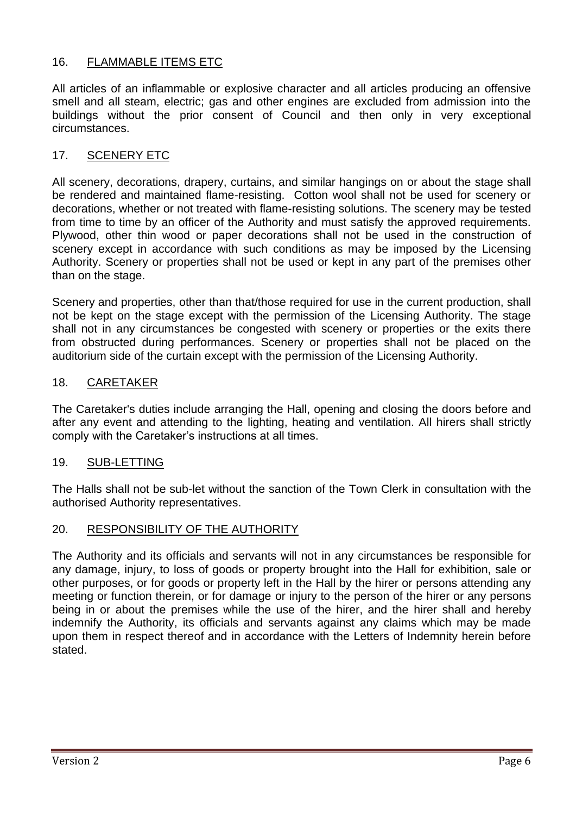#### 16. FLAMMABLE ITEMS ETC

All articles of an inflammable or explosive character and all articles producing an offensive smell and all steam, electric; gas and other engines are excluded from admission into the buildings without the prior consent of Council and then only in very exceptional circumstances.

#### 17. SCENERY ETC

All scenery, decorations, drapery, curtains, and similar hangings on or about the stage shall be rendered and maintained flame-resisting. Cotton wool shall not be used for scenery or decorations, whether or not treated with flame-resisting solutions. The scenery may be tested from time to time by an officer of the Authority and must satisfy the approved requirements. Plywood, other thin wood or paper decorations shall not be used in the construction of scenery except in accordance with such conditions as may be imposed by the Licensing Authority. Scenery or properties shall not be used or kept in any part of the premises other than on the stage.

Scenery and properties, other than that/those required for use in the current production, shall not be kept on the stage except with the permission of the Licensing Authority. The stage shall not in any circumstances be congested with scenery or properties or the exits there from obstructed during performances. Scenery or properties shall not be placed on the auditorium side of the curtain except with the permission of the Licensing Authority.

#### 18. CARETAKER

The Caretaker's duties include arranging the Hall, opening and closing the doors before and after any event and attending to the lighting, heating and ventilation. All hirers shall strictly comply with the Caretaker's instructions at all times.

#### 19. SUB-LETTING

The Halls shall not be sub-let without the sanction of the Town Clerk in consultation with the authorised Authority representatives.

#### 20. RESPONSIBILITY OF THE AUTHORITY

The Authority and its officials and servants will not in any circumstances be responsible for any damage, injury, to loss of goods or property brought into the Hall for exhibition, sale or other purposes, or for goods or property left in the Hall by the hirer or persons attending any meeting or function therein, or for damage or injury to the person of the hirer or any persons being in or about the premises while the use of the hirer, and the hirer shall and hereby indemnify the Authority, its officials and servants against any claims which may be made upon them in respect thereof and in accordance with the Letters of Indemnity herein before stated.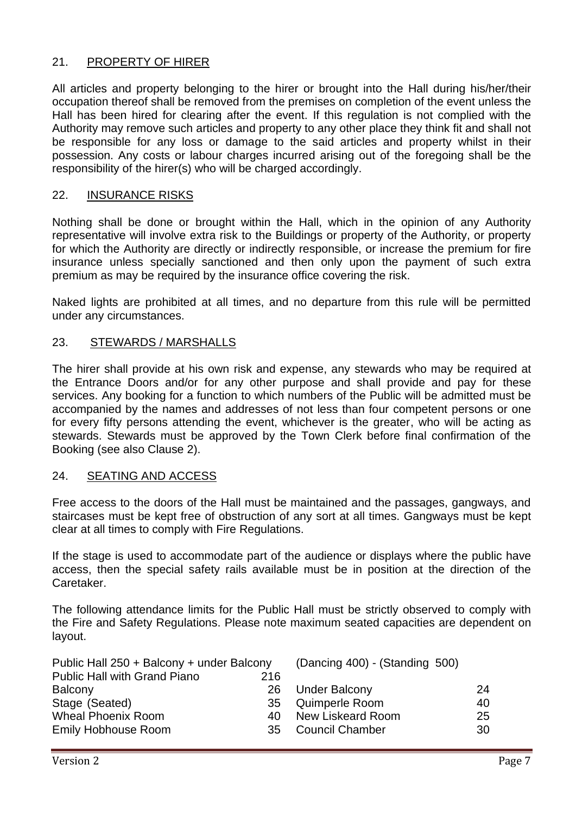#### 21. PROPERTY OF HIRER

All articles and property belonging to the hirer or brought into the Hall during his/her/their occupation thereof shall be removed from the premises on completion of the event unless the Hall has been hired for clearing after the event. If this regulation is not complied with the Authority may remove such articles and property to any other place they think fit and shall not be responsible for any loss or damage to the said articles and property whilst in their possession. Any costs or labour charges incurred arising out of the foregoing shall be the responsibility of the hirer(s) who will be charged accordingly.

#### 22. INSURANCE RISKS

Nothing shall be done or brought within the Hall, which in the opinion of any Authority representative will involve extra risk to the Buildings or property of the Authority, or property for which the Authority are directly or indirectly responsible, or increase the premium for fire insurance unless specially sanctioned and then only upon the payment of such extra premium as may be required by the insurance office covering the risk.

Naked lights are prohibited at all times, and no departure from this rule will be permitted under any circumstances.

#### 23. STEWARDS / MARSHALLS

The hirer shall provide at his own risk and expense, any stewards who may be required at the Entrance Doors and/or for any other purpose and shall provide and pay for these services. Any booking for a function to which numbers of the Public will be admitted must be accompanied by the names and addresses of not less than four competent persons or one for every fifty persons attending the event, whichever is the greater, who will be acting as stewards. Stewards must be approved by the Town Clerk before final confirmation of the Booking (see also Clause 2).

#### 24. SEATING AND ACCESS

Free access to the doors of the Hall must be maintained and the passages, gangways, and staircases must be kept free of obstruction of any sort at all times. Gangways must be kept clear at all times to comply with Fire Regulations.

If the stage is used to accommodate part of the audience or displays where the public have access, then the special safety rails available must be in position at the direction of the Caretaker.

The following attendance limits for the Public Hall must be strictly observed to comply with the Fire and Safety Regulations. Please note maximum seated capacities are dependent on layout.

| Public Hall 250 + Balcony + under Balcony |     | (Dancing 400) - (Standing 500) |    |
|-------------------------------------------|-----|--------------------------------|----|
| <b>Public Hall with Grand Piano</b>       | 216 |                                |    |
| <b>Balcony</b>                            | 26  | <b>Under Balcony</b>           | 24 |
| Stage (Seated)                            |     | 35 Quimperle Room              | 40 |
| <b>Wheal Phoenix Room</b>                 | 40. | New Liskeard Room              | 25 |
| <b>Emily Hobhouse Room</b>                |     | 35 Council Chamber             | 30 |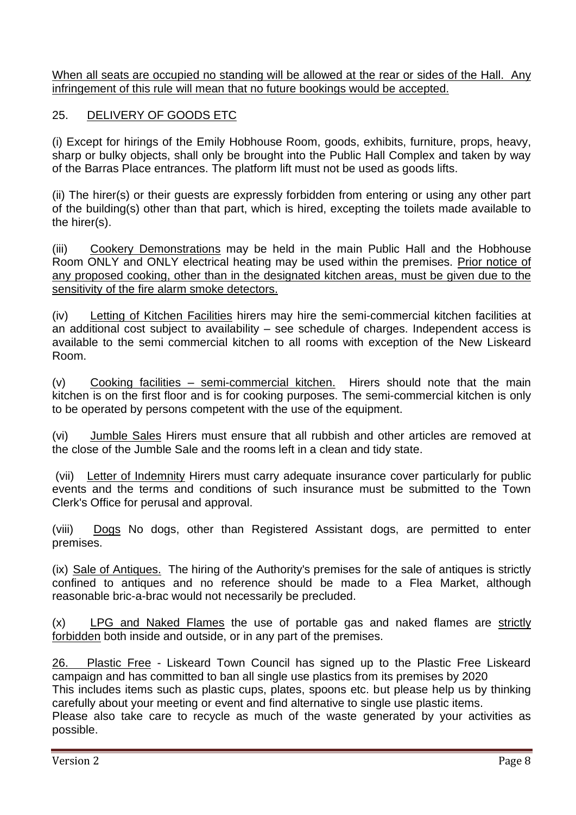When all seats are occupied no standing will be allowed at the rear or sides of the Hall. Any infringement of this rule will mean that no future bookings would be accepted.

#### 25. DELIVERY OF GOODS ETC

(i) Except for hirings of the Emily Hobhouse Room, goods, exhibits, furniture, props, heavy, sharp or bulky objects, shall only be brought into the Public Hall Complex and taken by way of the Barras Place entrances. The platform lift must not be used as goods lifts.

(ii) The hirer(s) or their guests are expressly forbidden from entering or using any other part of the building(s) other than that part, which is hired, excepting the toilets made available to the hirer(s).

(iii) Cookery Demonstrations may be held in the main Public Hall and the Hobhouse Room ONLY and ONLY electrical heating may be used within the premises. Prior notice of any proposed cooking, other than in the designated kitchen areas, must be given due to the sensitivity of the fire alarm smoke detectors.

(iv) Letting of Kitchen Facilities hirers may hire the semi-commercial kitchen facilities at an additional cost subject to availability – see schedule of charges. Independent access is available to the semi commercial kitchen to all rooms with exception of the New Liskeard Room.

(v) Cooking facilities – semi-commercial kitchen. Hirers should note that the main kitchen is on the first floor and is for cooking purposes. The semi-commercial kitchen is only to be operated by persons competent with the use of the equipment.

(vi) Jumble Sales Hirers must ensure that all rubbish and other articles are removed at the close of the Jumble Sale and the rooms left in a clean and tidy state.

(vii) Letter of Indemnity Hirers must carry adequate insurance cover particularly for public events and the terms and conditions of such insurance must be submitted to the Town Clerk's Office for perusal and approval.

(viii) Dogs No dogs, other than Registered Assistant dogs, are permitted to enter premises.

(ix) Sale of Antiques. The hiring of the Authority's premises for the sale of antiques is strictly confined to antiques and no reference should be made to a Flea Market, although reasonable bric-a-brac would not necessarily be precluded.

(x) LPG and Naked Flames the use of portable gas and naked flames are strictly forbidden both inside and outside, or in any part of the premises.

26. Plastic Free - Liskeard Town Council has signed up to the Plastic Free Liskeard campaign and has committed to ban all single use plastics from its premises by 2020

This includes items such as plastic cups, plates, spoons etc. but please help us by thinking carefully about your meeting or event and find alternative to single use plastic items.

Please also take care to recycle as much of the waste generated by your activities as possible.